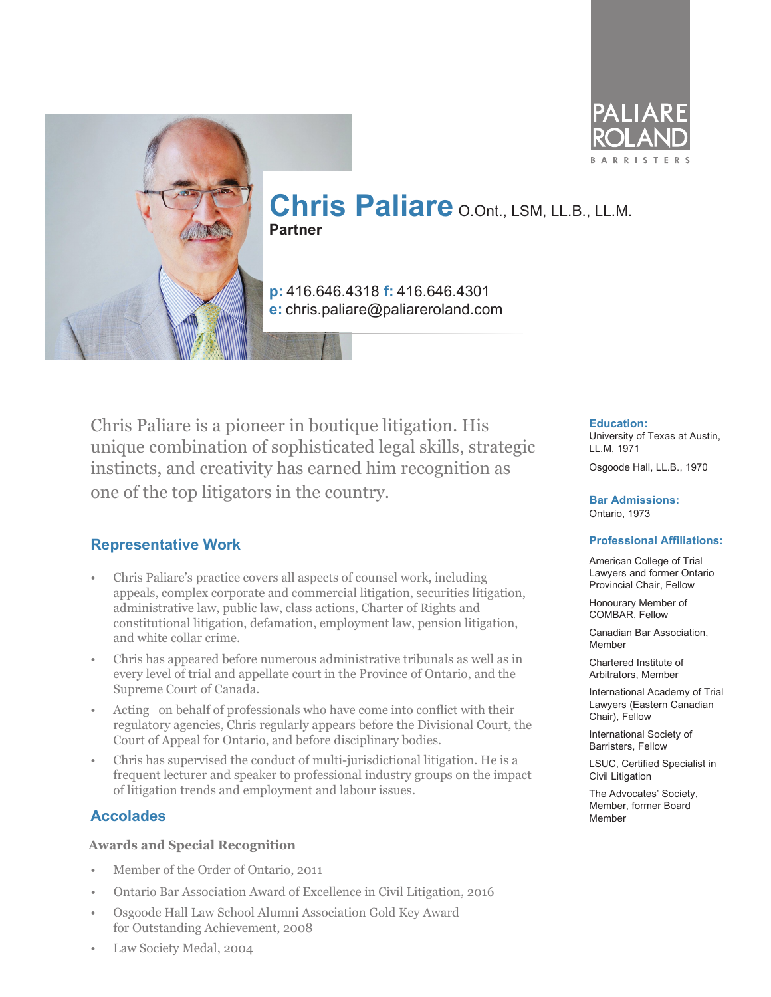



# **Chris Paliare** O.Ont., LSM, LL.B., LL.M. **Partner**

**p:** 416.646.4318 **f:** 416.646.4301 **e:** chris.paliare@paliareroland.com

Chris Paliare is a pioneer in boutique litigation. His unique combination of sophisticated legal skills, strategic instincts, and creativity has earned him recognition as one of the top litigators in the country.

## **Representative Work**

- Chris Paliare's practice covers all aspects of counsel work, including appeals, complex corporate and commercial litigation, securities litigation, administrative law, public law, class actions, Charter of Rights and constitutional litigation, defamation, employment law, pension litigation, and white collar crime.
- Chris has appeared before numerous administrative tribunals as well as in every level of trial and appellate court in the Province of Ontario, and the Supreme Court of Canada.
- Acting on behalf of professionals who have come into conflict with their regulatory agencies, Chris regularly appears before the Divisional Court, the Court of Appeal for Ontario, and before disciplinary bodies.
- Chris has supervised the conduct of multi-jurisdictional litigation. He is a frequent lecturer and speaker to professional industry groups on the impact of litigation trends and employment and labour issues.

## **Accolades**

#### **Awards and Special Recognition**

- Member of the Order of Ontario, 2011
- Ontario Bar Association Award of Excellence in Civil Litigation, 2016
- Osgoode Hall Law School Alumni Association Gold Key Award for Outstanding Achievement, 2008

#### **Education:**

University of Texas at Austin, LL.M, 1971

Osgoode Hall, LL.B., 1970

**Bar Admissions:** Ontario, 1973

#### **Professional Affiliations:**

American College of Trial Lawyers and former Ontario Provincial Chair, Fellow

Honourary Member of COMBAR, Fellow

Canadian Bar Association, Member

Chartered Institute of Arbitrators, Member

International Academy of Trial Lawyers (Eastern Canadian Chair), Fellow

International Society of Barristers, Fellow

LSUC, Certified Specialist in Civil Litigation

The Advocates' Society, Member, former Board Member

• Law Society Medal, 2004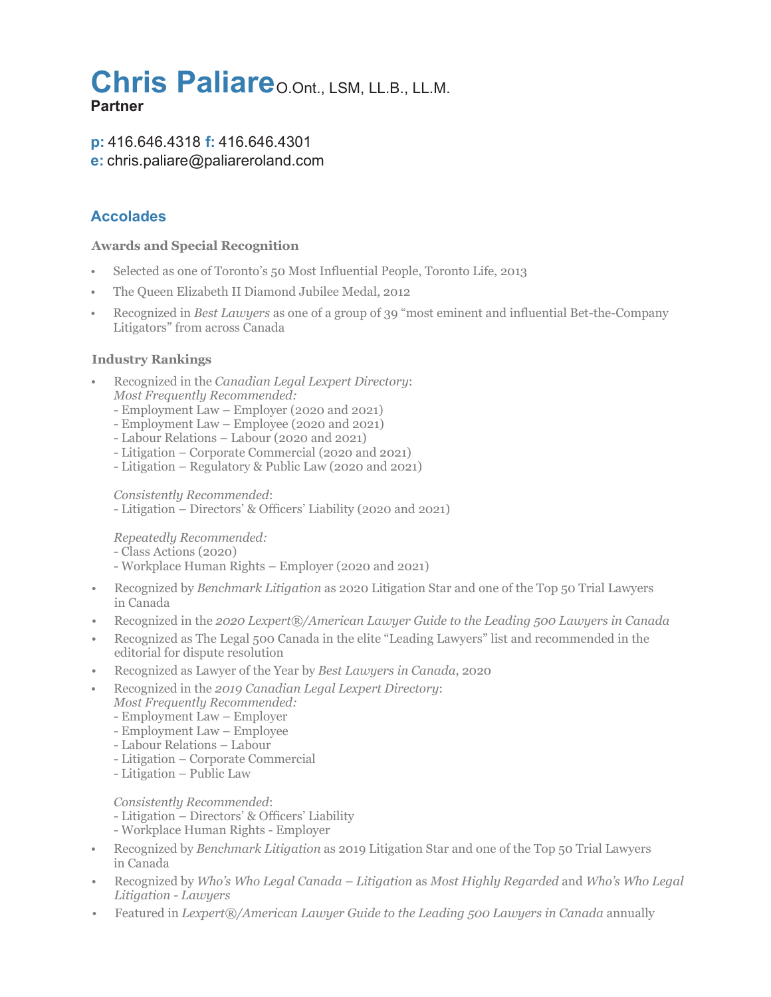# Chris Paliare o.Ont., LSM, LL.B., LL.M. **Partner**

## **p:** 416.646.4318 **f:** 416.646.4301 **e:** chris.paliare@paliareroland.com

## **Accolades**

#### **Awards and Special Recognition**

- Selected as one of Toronto's 50 Most Influential People, Toronto Life, 2013
- The Queen Elizabeth II Diamond Jubilee Medal, 2012
- Recognized in *Best Lawyers* as one of a group of 39 "most eminent and influential Bet-the-Company Litigators" from across Canada

### **Industry Rankings**

- Recognized in the *Canadian Legal Lexpert Directory*: *Most Frequently Recommended:*
	- Employment Law Employer (2020 and 2021)
	- Employment Law Employee (2020 and 2021)
	- Labour Relations Labour (2020 and 2021)
	- Litigation Corporate Commercial (2020 and 2021)
	- Litigation Regulatory & Public Law (2020 and 2021)

*Consistently Recommended*:

- Litigation – Directors' & Officers' Liability (2020 and 2021)

*Repeatedly Recommended:*

- Class Actions (2020)

- Workplace Human Rights Employer (2020 and 2021)
- Recognized by *Benchmark Litigation* as 2020 Litigation Star and one of the Top 50 Trial Lawyers in Canada
- Recognized in the *2020 Lexpert®/American Lawyer Guide to the Leading 500 Lawyers in Canada*
- Recognized as The Legal 500 Canada in the elite "Leading Lawyers" list and recommended in the editorial for dispute resolution
- Recognized as Lawyer of the Year by *Best Lawyers in Canada*, 2020
- Recognized in the *2019 Canadian Legal Lexpert Directory*:
	- *Most Frequently Recommended:*
	- Employment Law Employer
	- Employment Law Employee
	- Labour Relations Labour
	- Litigation Corporate Commercial
	- Litigation Public Law

#### *Consistently Recommended*:

- Litigation Directors' & Officers' Liability
- Workplace Human Rights Employer
- Recognized by *Benchmark Litigation* as 2019 Litigation Star and one of the Top 50 Trial Lawyers in Canada
- Recognized by *Who's Who Legal Canada Litigation* as *Most Highly Regarded* and *Who's Who Legal Litigation - Lawyers*
- Featured in *Lexpert®/American Lawyer Guide to the Leading 500 Lawyers in Canada* annually